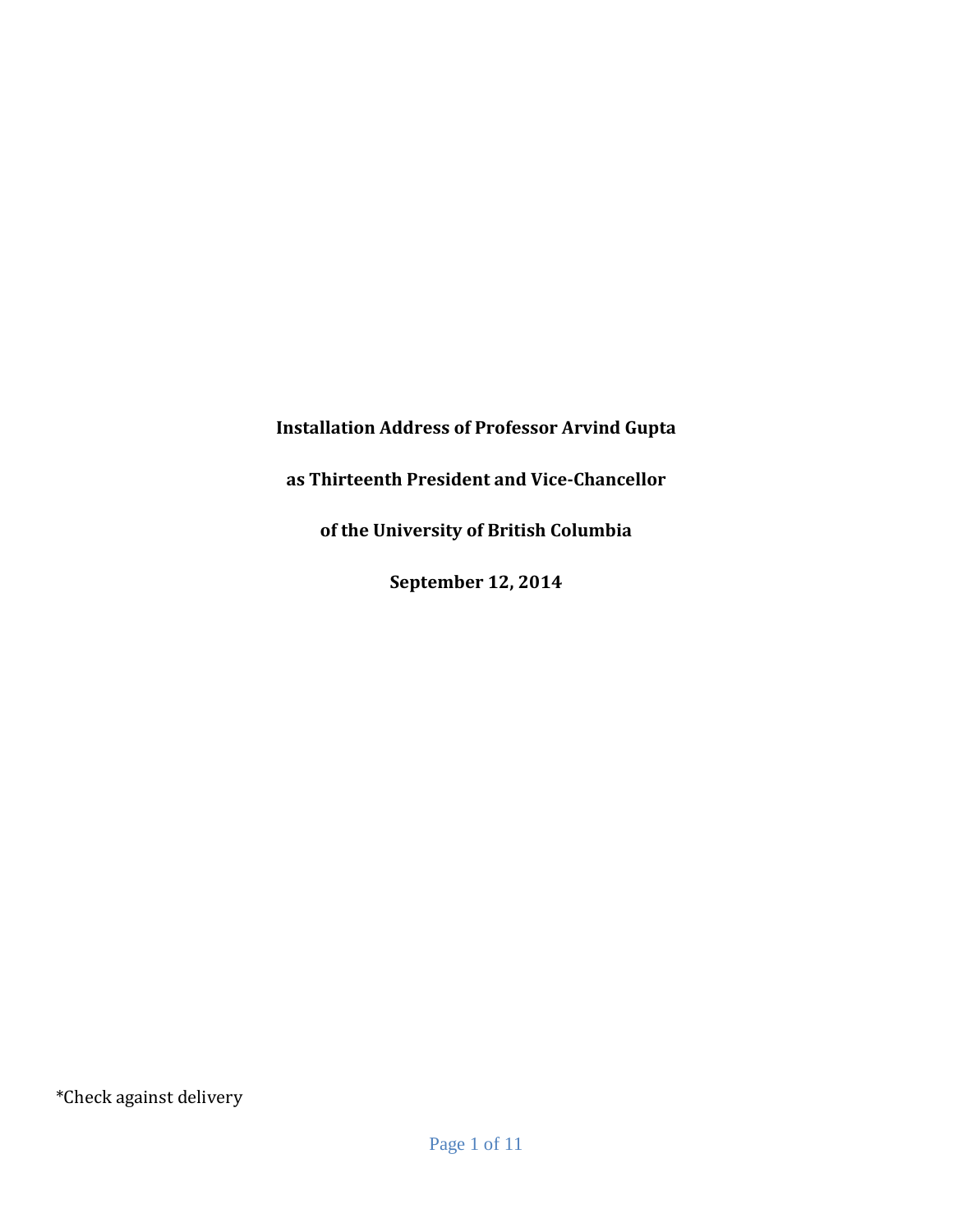**Installation Address of Professor Arvind Gupta**

**as Thirteenth President and Vice-Chancellor**

**of the University of British Columbia**

**September 12, 2014**

\*Check against delivery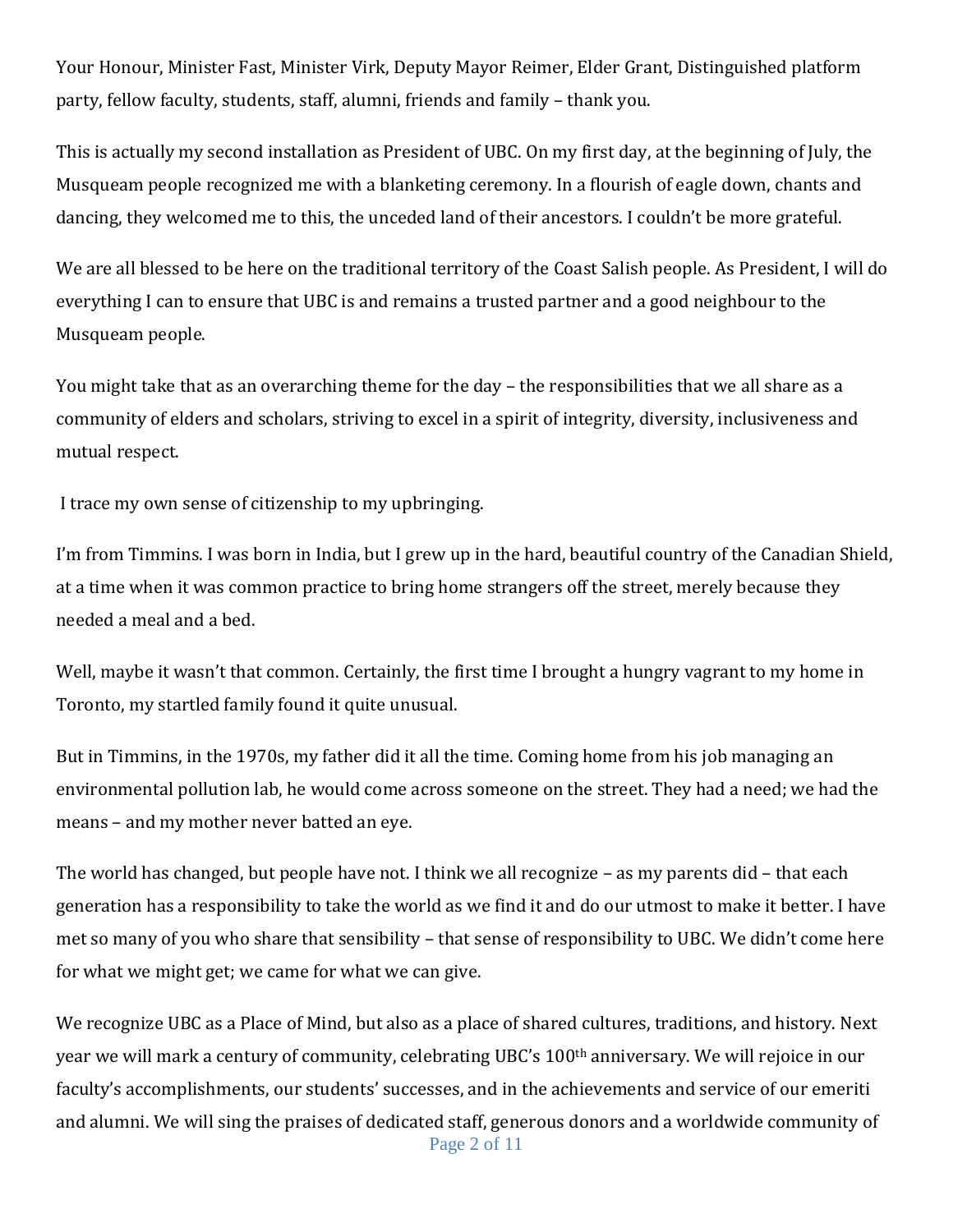Your Honour, Minister Fast, Minister Virk, Deputy Mayor Reimer, Elder Grant, Distinguished platform party, fellow faculty, students, staff, alumni, friends and family – thank you.

This is actually my second installation as President of UBC. On my first day, at the beginning of July, the Musqueam people recognized me with a blanketing ceremony. In a flourish of eagle down, chants and dancing, they welcomed me to this, the unceded land of their ancestors. I couldn't be more grateful.

We are all blessed to be here on the traditional territory of the Coast Salish people. As President, I will do everything I can to ensure that UBC is and remains a trusted partner and a good neighbour to the Musqueam people.

You might take that as an overarching theme for the day – the responsibilities that we all share as a community of elders and scholars, striving to excel in a spirit of integrity, diversity, inclusiveness and mutual respect.

I trace my own sense of citizenship to my upbringing.

I'm from Timmins. I was born in India, but I grew up in the hard, beautiful country of the Canadian Shield, at a time when it was common practice to bring home strangers off the street, merely because they needed a meal and a bed.

Well, maybe it wasn't that common. Certainly, the first time I brought a hungry vagrant to my home in Toronto, my startled family found it quite unusual.

But in Timmins, in the 1970s, my father did it all the time. Coming home from his job managing an environmental pollution lab, he would come across someone on the street. They had a need; we had the means – and my mother never batted an eye.

The world has changed, but people have not. I think we all recognize – as my parents did – that each generation has a responsibility to take the world as we find it and do our utmost to make it better. I have met so many of you who share that sensibility – that sense of responsibility to UBC. We didn't come here for what we might get; we came for what we can give.

Page 2 of 11 We recognize UBC as a Place of Mind, but also as a place of shared cultures, traditions, and history. Next year we will mark a century of community, celebrating UBC's 100th anniversary. We will rejoice in our faculty's accomplishments, our students' successes, and in the achievements and service of our emeriti and alumni. We will sing the praises of dedicated staff, generous donors and a worldwide community of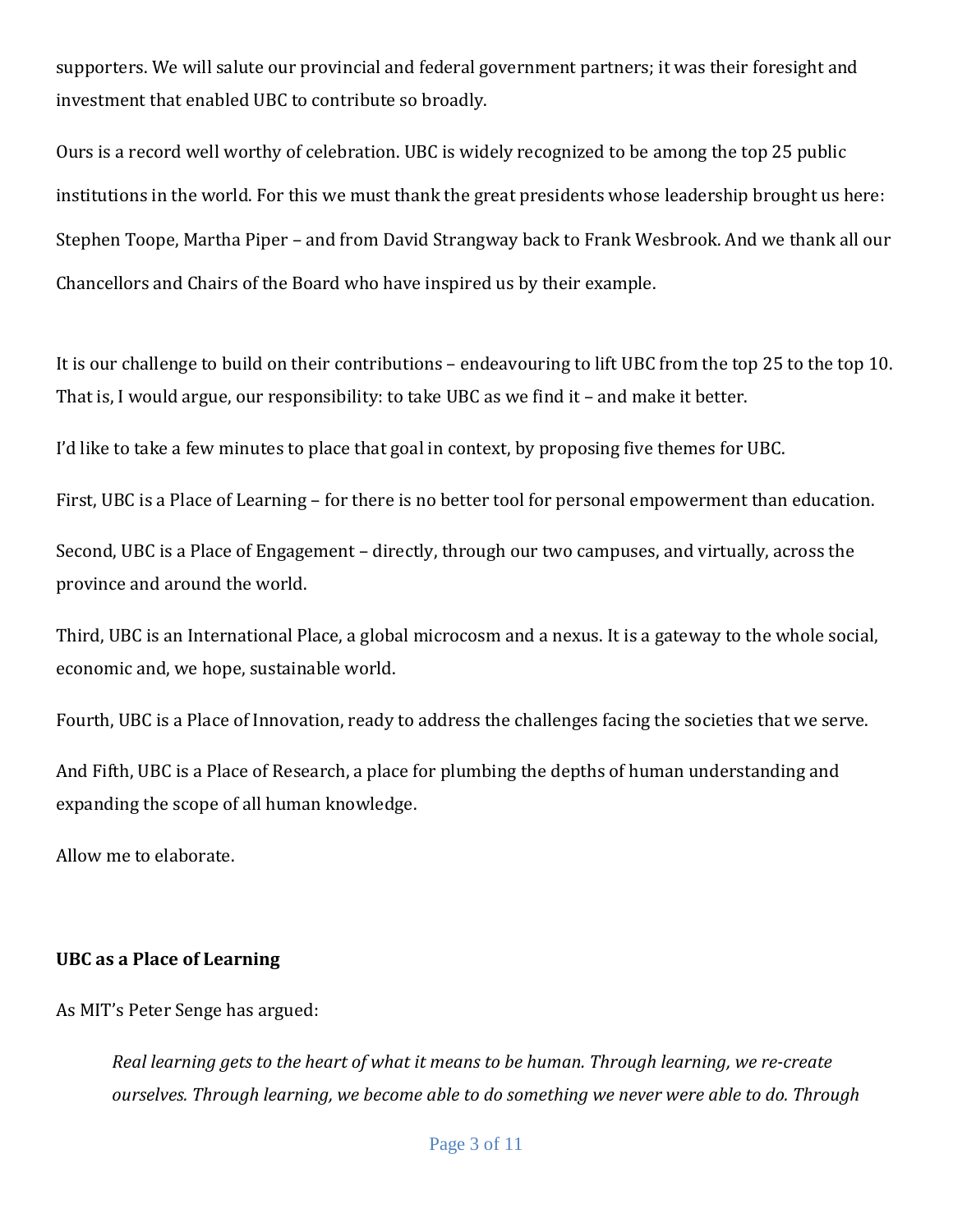supporters. We will salute our provincial and federal government partners; it was their foresight and investment that enabled UBC to contribute so broadly.

Ours is a record well worthy of celebration. UBC is widely recognized to be among the top 25 public institutions in the world. For this we must thank the great presidents whose leadership brought us here: Stephen Toope, Martha Piper – and from David Strangway back to Frank Wesbrook. And we thank all our Chancellors and Chairs of the Board who have inspired us by their example.

It is our challenge to build on their contributions – endeavouring to lift UBC from the top 25 to the top 10. That is, I would argue, our responsibility: to take UBC as we find it – and make it better.

I'd like to take a few minutes to place that goal in context, by proposing five themes for UBC.

First, UBC is a Place of Learning – for there is no better tool for personal empowerment than education.

Second, UBC is a Place of Engagement – directly, through our two campuses, and virtually, across the province and around the world.

Third, UBC is an International Place, a global microcosm and a nexus. It is a gateway to the whole social, economic and, we hope, sustainable world.

Fourth, UBC is a Place of Innovation, ready to address the challenges facing the societies that we serve.

And Fifth, UBC is a Place of Research, a place for plumbing the depths of human understanding and expanding the scope of all human knowledge.

Allow me to elaborate.

### **UBC as a Place of Learning**

As MIT's Peter Senge has argued:

*Real learning gets to the heart of what it means to be human. Through learning, we re-create ourselves. Through learning, we become able to do something we never were able to do. Through*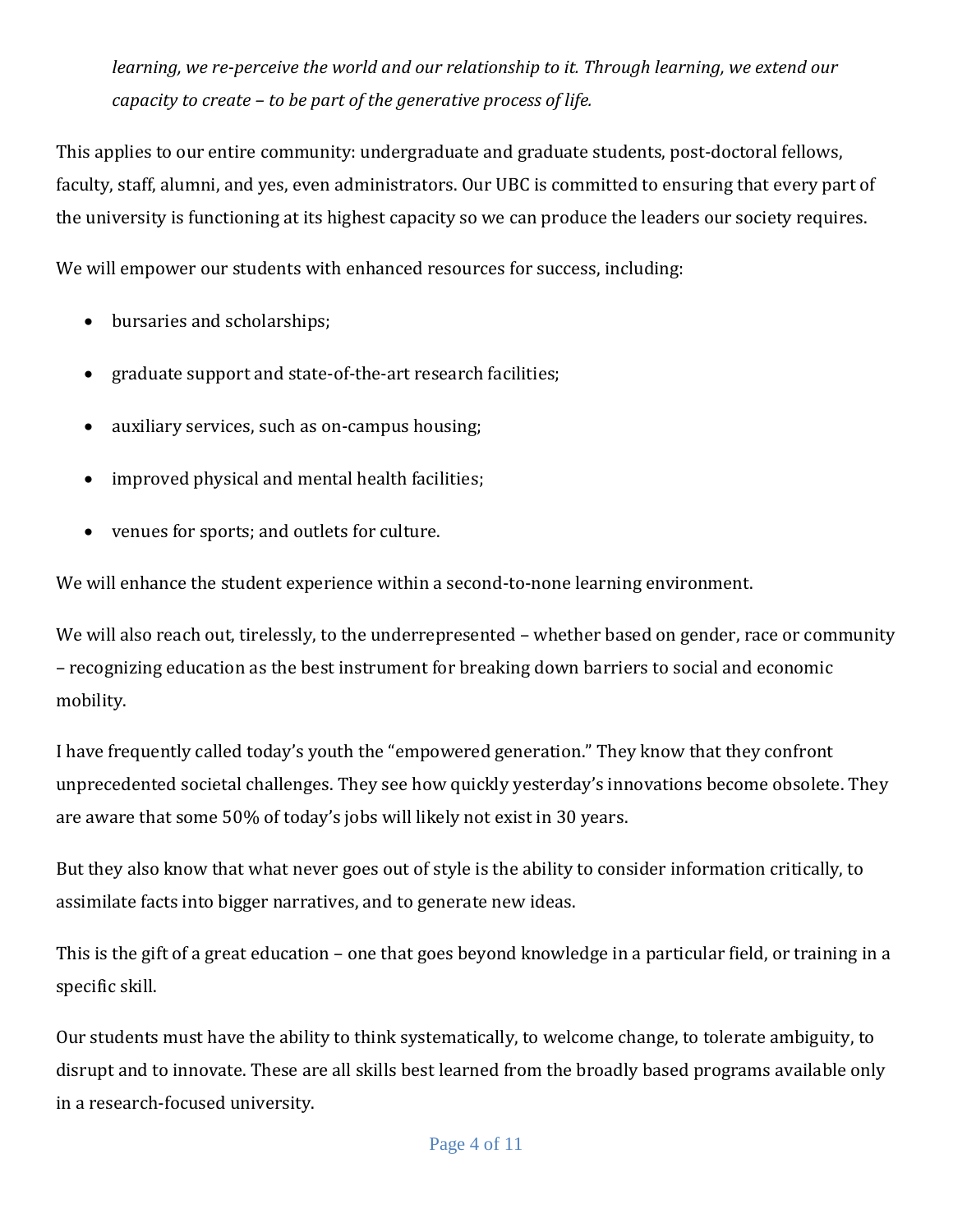*learning, we re-perceive the world and our relationship to it. Through learning, we extend our capacity to create – to be part of the generative process of life.*

This applies to our entire community: undergraduate and graduate students, post-doctoral fellows, faculty, staff, alumni, and yes, even administrators. Our UBC is committed to ensuring that every part of the university is functioning at its highest capacity so we can produce the leaders our society requires.

We will empower our students with enhanced resources for success, including:

- bursaries and scholarships;
- graduate support and state-of-the-art research facilities;
- auxiliary services, such as on-campus housing;
- improved physical and mental health facilities;
- venues for sports; and outlets for culture.

We will enhance the student experience within a second-to-none learning environment.

We will also reach out, tirelessly, to the underrepresented – whether based on gender, race or community – recognizing education as the best instrument for breaking down barriers to social and economic mobility.

I have frequently called today's youth the "empowered generation." They know that they confront unprecedented societal challenges. They see how quickly yesterday's innovations become obsolete. They are aware that some 50% of today's jobs will likely not exist in 30 years.

But they also know that what never goes out of style is the ability to consider information critically, to assimilate facts into bigger narratives, and to generate new ideas.

This is the gift of a great education – one that goes beyond knowledge in a particular field, or training in a specific skill.

Our students must have the ability to think systematically, to welcome change, to tolerate ambiguity, to disrupt and to innovate. These are all skills best learned from the broadly based programs available only in a research-focused university.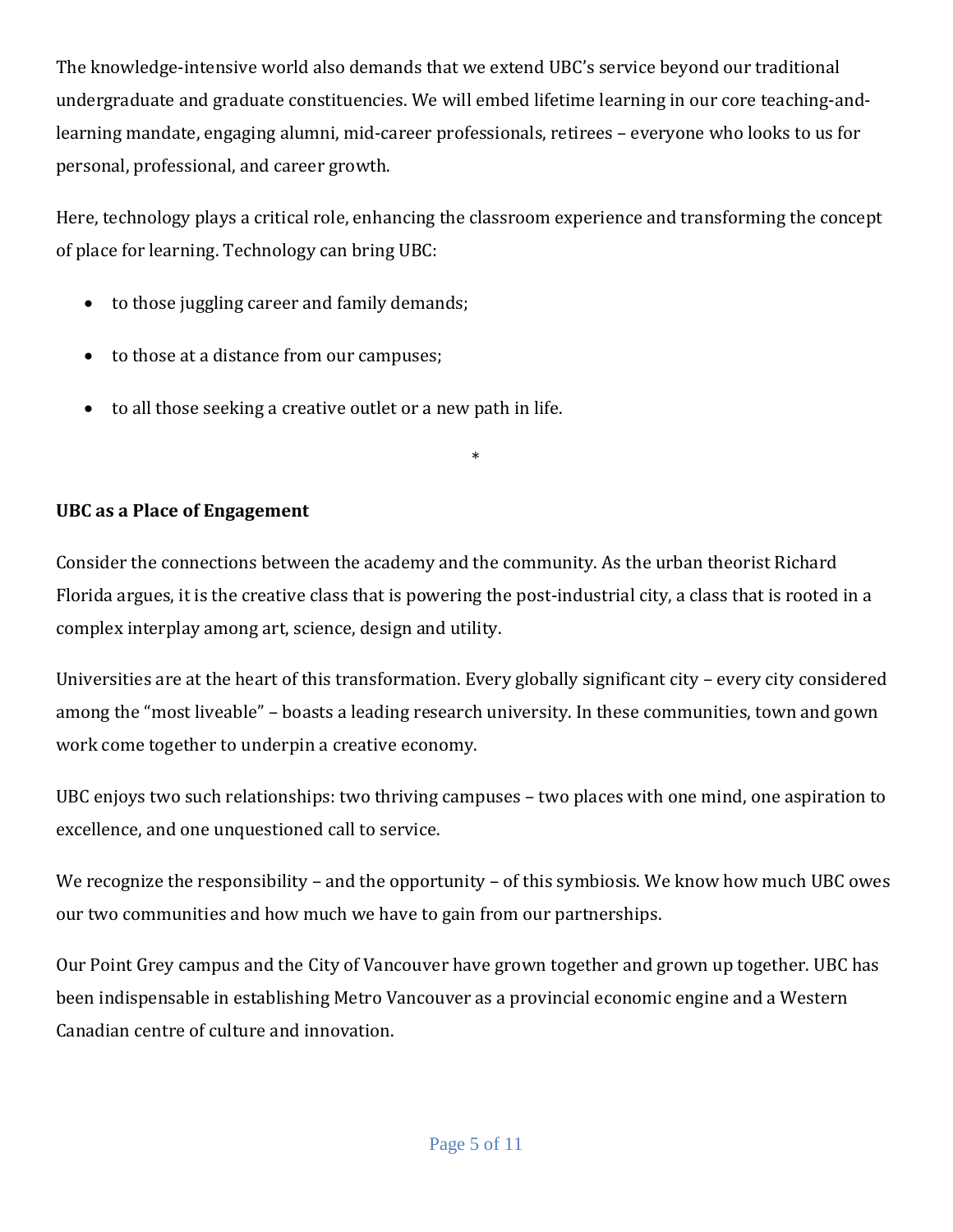The knowledge-intensive world also demands that we extend UBC's service beyond our traditional undergraduate and graduate constituencies. We will embed lifetime learning in our core teaching-andlearning mandate, engaging alumni, mid-career professionals, retirees – everyone who looks to us for personal, professional, and career growth.

Here, technology plays a critical role, enhancing the classroom experience and transforming the concept of place for learning. Technology can bring UBC:

- to those juggling career and family demands;
- to those at a distance from our campuses;
- to all those seeking a creative outlet or a new path in life.

# **UBC as a Place of Engagement**

Consider the connections between the academy and the community. As the urban theorist Richard Florida argues, it is the creative class that is powering the post-industrial city, a class that is rooted in a complex interplay among art, science, design and utility.

\*

Universities are at the heart of this transformation. Every globally significant city – every city considered among the "most liveable" – boasts a leading research university. In these communities, town and gown work come together to underpin a creative economy.

UBC enjoys two such relationships: two thriving campuses – two places with one mind, one aspiration to excellence, and one unquestioned call to service.

We recognize the responsibility – and the opportunity – of this symbiosis. We know how much UBC owes our two communities and how much we have to gain from our partnerships.

Our Point Grey campus and the City of Vancouver have grown together and grown up together. UBC has been indispensable in establishing Metro Vancouver as a provincial economic engine and a Western Canadian centre of culture and innovation.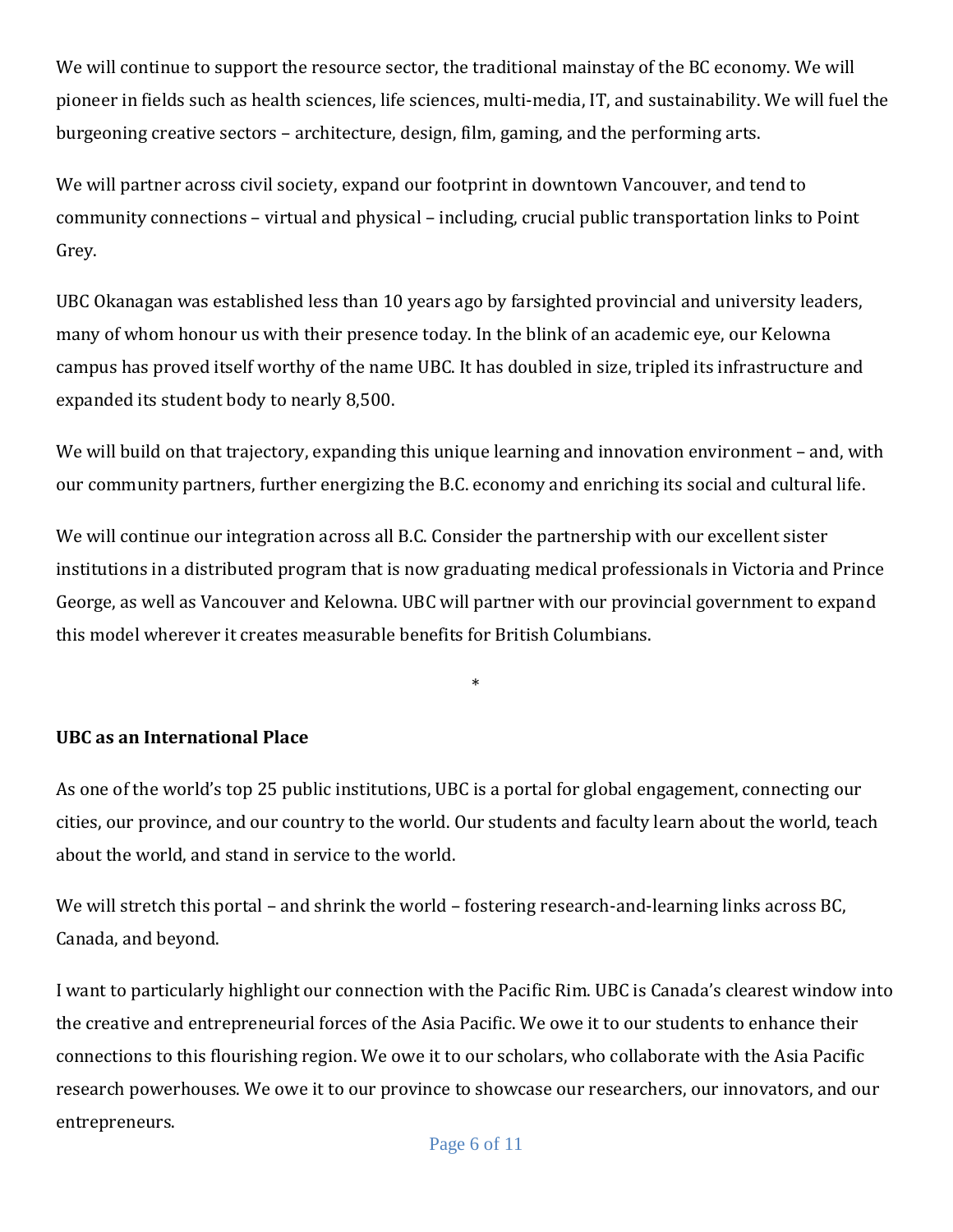We will continue to support the resource sector, the traditional mainstay of the BC economy. We will pioneer in fields such as health sciences, life sciences, multi-media, IT, and sustainability. We will fuel the burgeoning creative sectors – architecture, design, film, gaming, and the performing arts.

We will partner across civil society, expand our footprint in downtown Vancouver, and tend to community connections – virtual and physical – including, crucial public transportation links to Point Grey.

UBC Okanagan was established less than 10 years ago by farsighted provincial and university leaders, many of whom honour us with their presence today. In the blink of an academic eye, our Kelowna campus has proved itself worthy of the name UBC. It has doubled in size, tripled its infrastructure and expanded its student body to nearly 8,500.

We will build on that trajectory, expanding this unique learning and innovation environment – and, with our community partners, further energizing the B.C. economy and enriching its social and cultural life.

We will continue our integration across all B.C. Consider the partnership with our excellent sister institutions in a distributed program that is now graduating medical professionals in Victoria and Prince George, as well as Vancouver and Kelowna. UBC will partner with our provincial government to expand this model wherever it creates measurable benefits for British Columbians.

\*

## **UBC as an International Place**

As one of the world's top 25 public institutions, UBC is a portal for global engagement, connecting our cities, our province, and our country to the world. Our students and faculty learn about the world, teach about the world, and stand in service to the world.

We will stretch this portal – and shrink the world – fostering research-and-learning links across BC, Canada, and beyond.

I want to particularly highlight our connection with the Pacific Rim. UBC is Canada's clearest window into the creative and entrepreneurial forces of the Asia Pacific. We owe it to our students to enhance their connections to this flourishing region. We owe it to our scholars, who collaborate with the Asia Pacific research powerhouses. We owe it to our province to showcase our researchers, our innovators, and our entrepreneurs.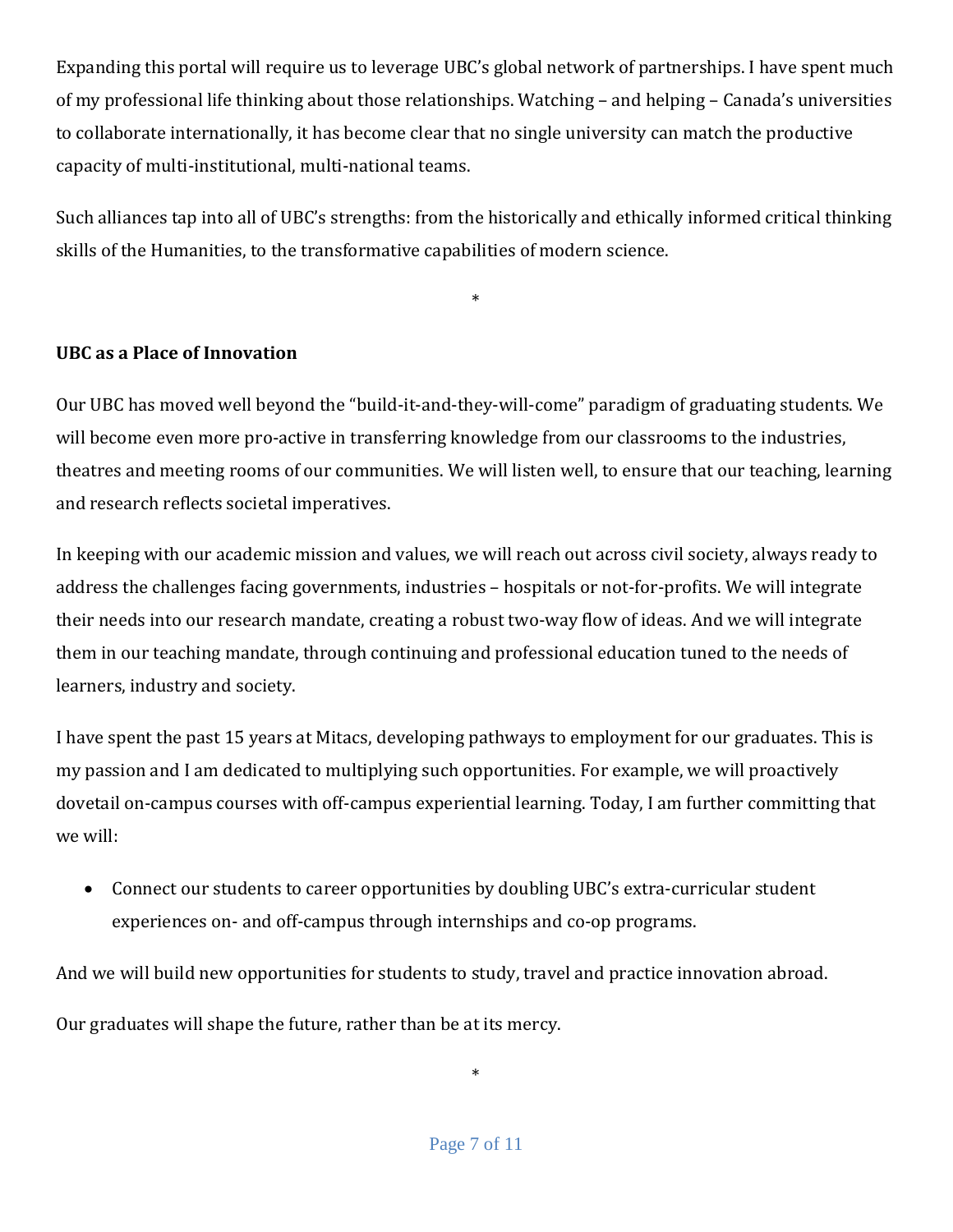Expanding this portal will require us to leverage UBC's global network of partnerships. I have spent much of my professional life thinking about those relationships. Watching – and helping – Canada's universities to collaborate internationally, it has become clear that no single university can match the productive capacity of multi-institutional, multi-national teams.

Such alliances tap into all of UBC's strengths: from the historically and ethically informed critical thinking skills of the Humanities, to the transformative capabilities of modern science.

\*

## **UBC as a Place of Innovation**

Our UBC has moved well beyond the "build-it-and-they-will-come" paradigm of graduating students. We will become even more pro-active in transferring knowledge from our classrooms to the industries, theatres and meeting rooms of our communities. We will listen well, to ensure that our teaching, learning and research reflects societal imperatives.

In keeping with our academic mission and values, we will reach out across civil society, always ready to address the challenges facing governments, industries – hospitals or not-for-profits. We will integrate their needs into our research mandate, creating a robust two-way flow of ideas. And we will integrate them in our teaching mandate, through continuing and professional education tuned to the needs of learners, industry and society.

I have spent the past 15 years at Mitacs, developing pathways to employment for our graduates. This is my passion and I am dedicated to multiplying such opportunities. For example, we will proactively dovetail on-campus courses with off-campus experiential learning. Today, I am further committing that we will:

 Connect our students to career opportunities by doubling UBC's extra-curricular student experiences on- and off-campus through internships and co-op programs.

And we will build new opportunities for students to study, travel and practice innovation abroad.

Our graduates will shape the future, rather than be at its mercy.

\*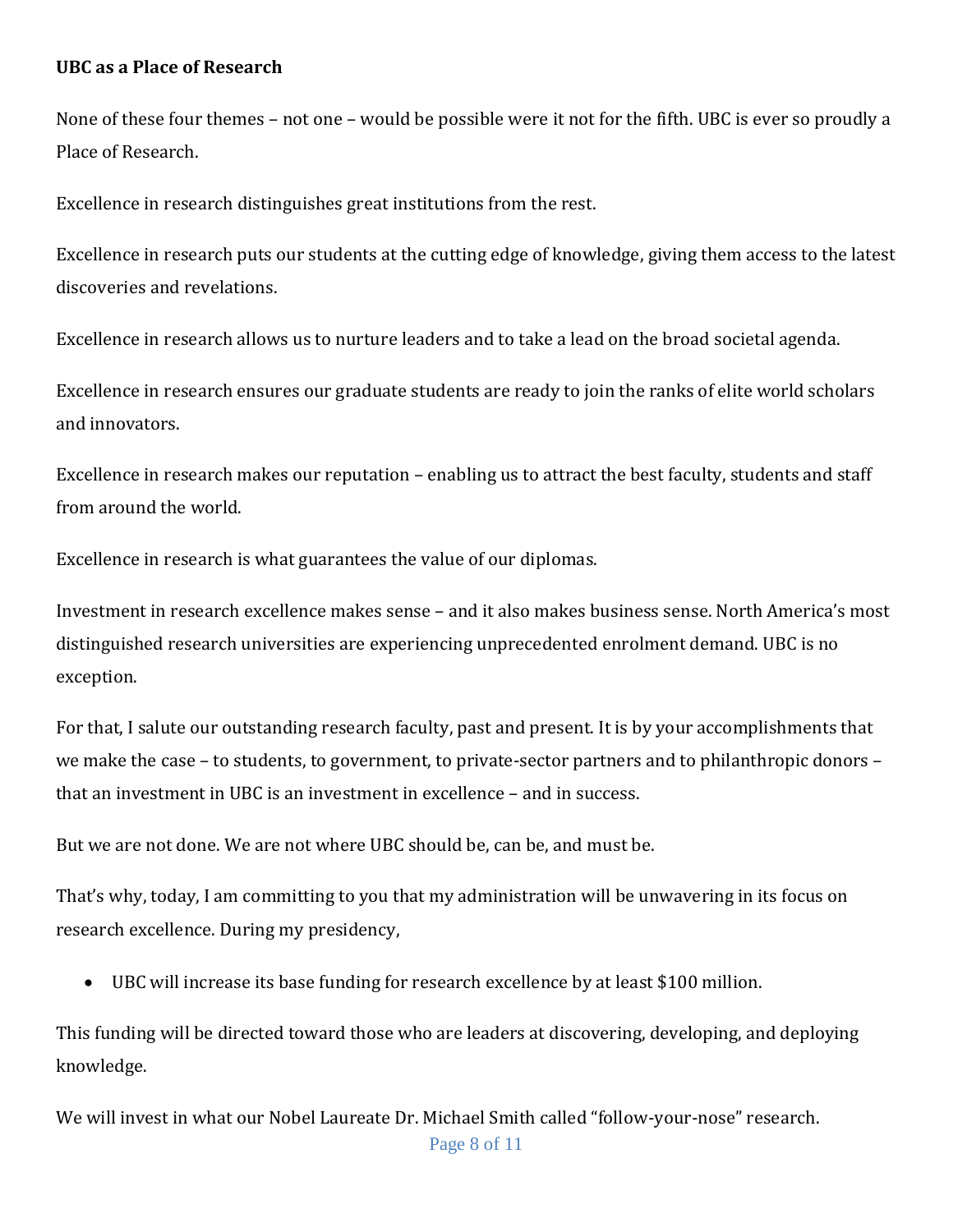### **UBC as a Place of Research**

None of these four themes – not one – would be possible were it not for the fifth. UBC is ever so proudly a Place of Research.

Excellence in research distinguishes great institutions from the rest.

Excellence in research puts our students at the cutting edge of knowledge, giving them access to the latest discoveries and revelations.

Excellence in research allows us to nurture leaders and to take a lead on the broad societal agenda.

Excellence in research ensures our graduate students are ready to join the ranks of elite world scholars and innovators.

Excellence in research makes our reputation – enabling us to attract the best faculty, students and staff from around the world.

Excellence in research is what guarantees the value of our diplomas.

Investment in research excellence makes sense – and it also makes business sense. North America's most distinguished research universities are experiencing unprecedented enrolment demand. UBC is no exception.

For that, I salute our outstanding research faculty, past and present. It is by your accomplishments that we make the case – to students, to government, to private-sector partners and to philanthropic donors – that an investment in UBC is an investment in excellence – and in success.

But we are not done. We are not where UBC should be, can be, and must be.

That's why, today, I am committing to you that my administration will be unwavering in its focus on research excellence. During my presidency,

UBC will increase its base funding for research excellence by at least \$100 million.

This funding will be directed toward those who are leaders at discovering, developing, and deploying knowledge.

We will invest in what our Nobel Laureate Dr. Michael Smith called "follow-your-nose" research.

Page 8 of 11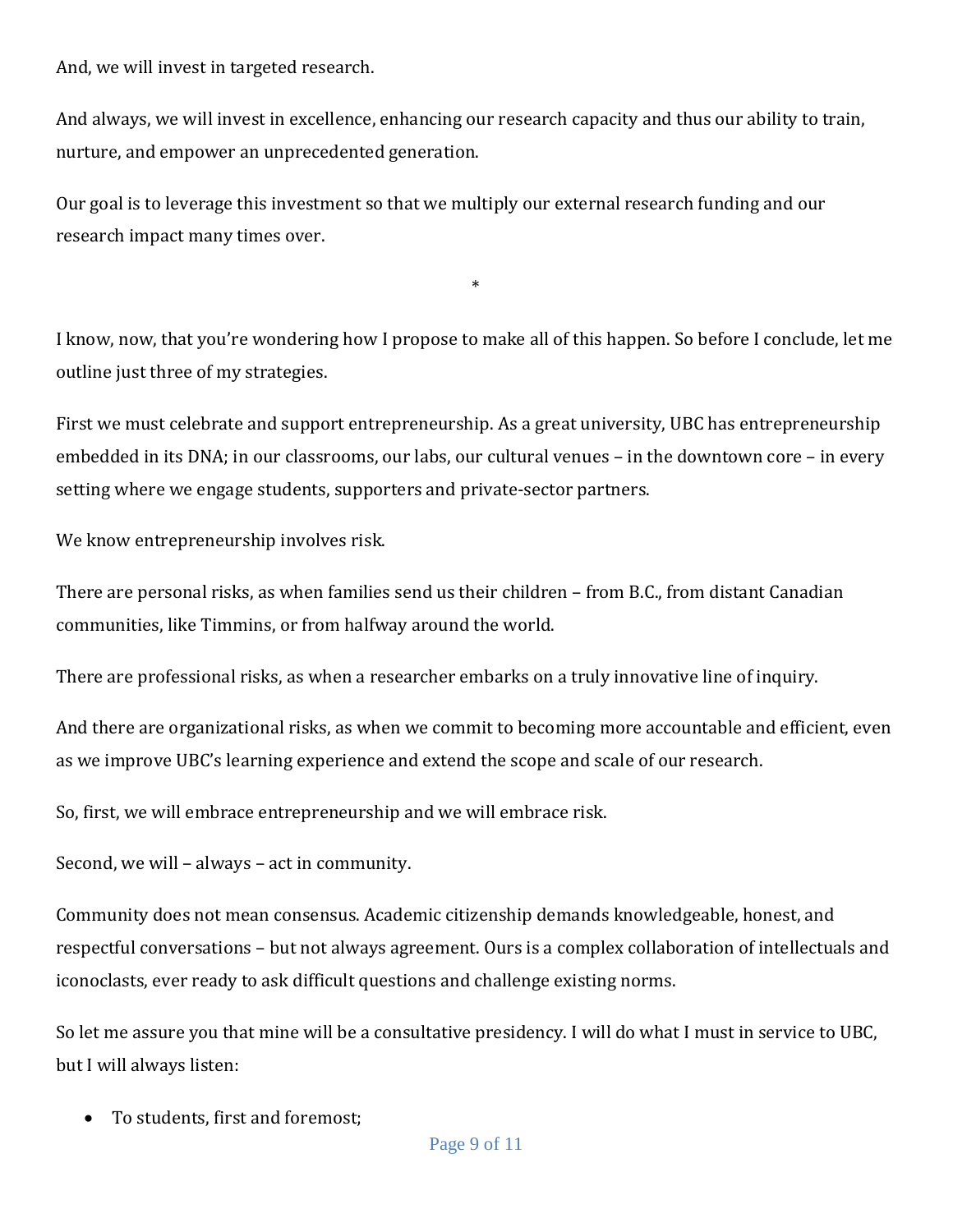And, we will invest in targeted research.

And always, we will invest in excellence, enhancing our research capacity and thus our ability to train, nurture, and empower an unprecedented generation.

Our goal is to leverage this investment so that we multiply our external research funding and our research impact many times over.

I know, now, that you're wondering how I propose to make all of this happen. So before I conclude, let me outline just three of my strategies.

\*

First we must celebrate and support entrepreneurship. As a great university, UBC has entrepreneurship embedded in its DNA; in our classrooms, our labs, our cultural venues – in the downtown core – in every setting where we engage students, supporters and private-sector partners.

We know entrepreneurship involves risk.

There are personal risks, as when families send us their children – from B.C., from distant Canadian communities, like Timmins, or from halfway around the world.

There are professional risks, as when a researcher embarks on a truly innovative line of inquiry.

And there are organizational risks, as when we commit to becoming more accountable and efficient, even as we improve UBC's learning experience and extend the scope and scale of our research.

So, first, we will embrace entrepreneurship and we will embrace risk.

Second, we will – always – act in community.

Community does not mean consensus. Academic citizenship demands knowledgeable, honest, and respectful conversations – but not always agreement. Ours is a complex collaboration of intellectuals and iconoclasts, ever ready to ask difficult questions and challenge existing norms.

So let me assure you that mine will be a consultative presidency. I will do what I must in service to UBC, but I will always listen:

To students, first and foremost;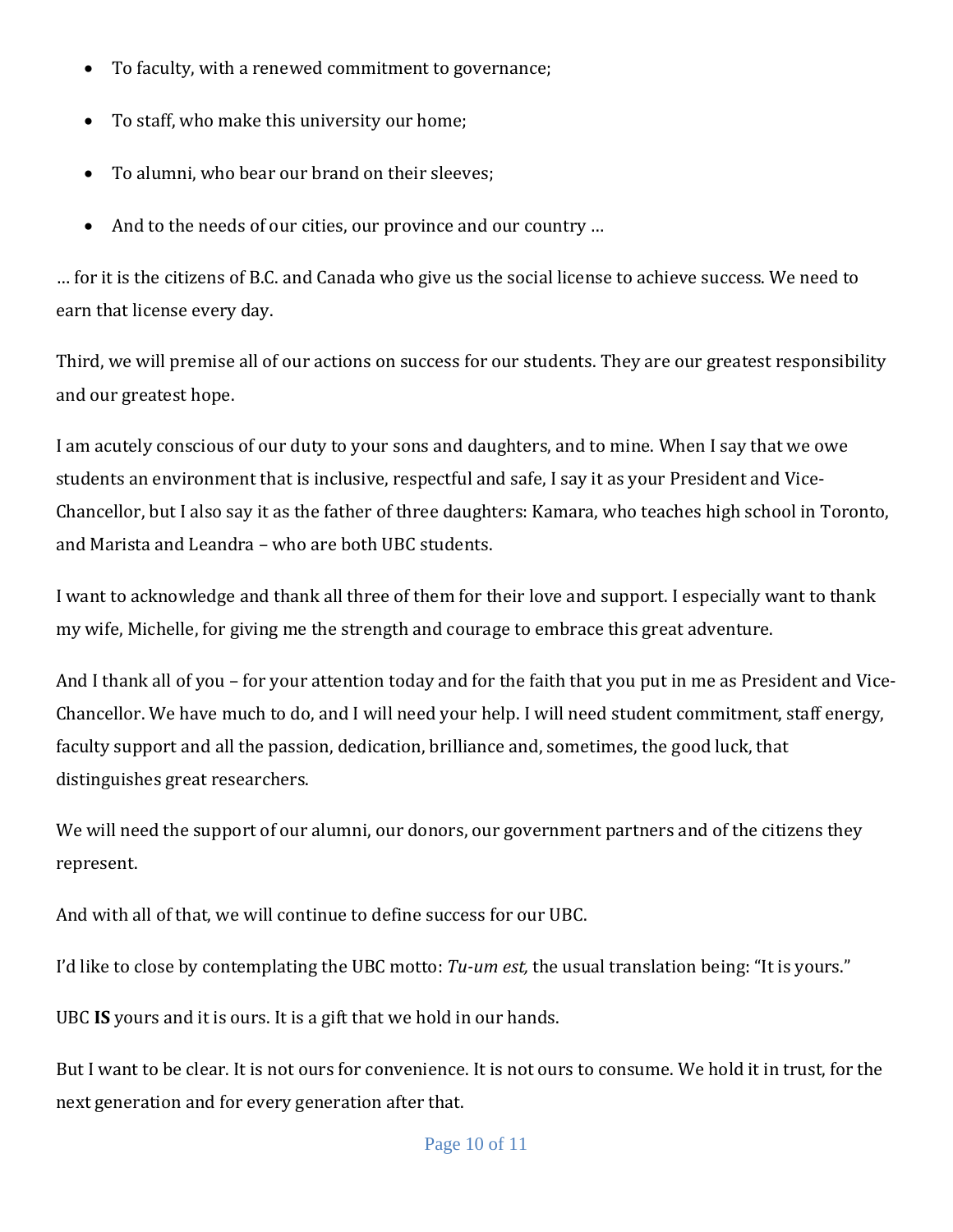- To faculty, with a renewed commitment to governance;
- To staff, who make this university our home;
- To alumni, who bear our brand on their sleeves;
- And to the needs of our cities, our province and our country ...

… for it is the citizens of B.C. and Canada who give us the social license to achieve success. We need to earn that license every day.

Third, we will premise all of our actions on success for our students. They are our greatest responsibility and our greatest hope.

I am acutely conscious of our duty to your sons and daughters, and to mine. When I say that we owe students an environment that is inclusive, respectful and safe, I say it as your President and Vice-Chancellor, but I also say it as the father of three daughters: Kamara, who teaches high school in Toronto, and Marista and Leandra – who are both UBC students.

I want to acknowledge and thank all three of them for their love and support. I especially want to thank my wife, Michelle, for giving me the strength and courage to embrace this great adventure.

And I thank all of you – for your attention today and for the faith that you put in me as President and Vice-Chancellor. We have much to do, and I will need your help. I will need student commitment, staff energy, faculty support and all the passion, dedication, brilliance and, sometimes, the good luck, that distinguishes great researchers.

We will need the support of our alumni, our donors, our government partners and of the citizens they represent.

And with all of that, we will continue to define success for our UBC.

I'd like to close by contemplating the UBC motto: *Tu-um est,* the usual translation being: "It is yours."

UBC **IS** yours and it is ours. It is a gift that we hold in our hands.

But I want to be clear. It is not ours for convenience. It is not ours to consume. We hold it in trust, for the next generation and for every generation after that.